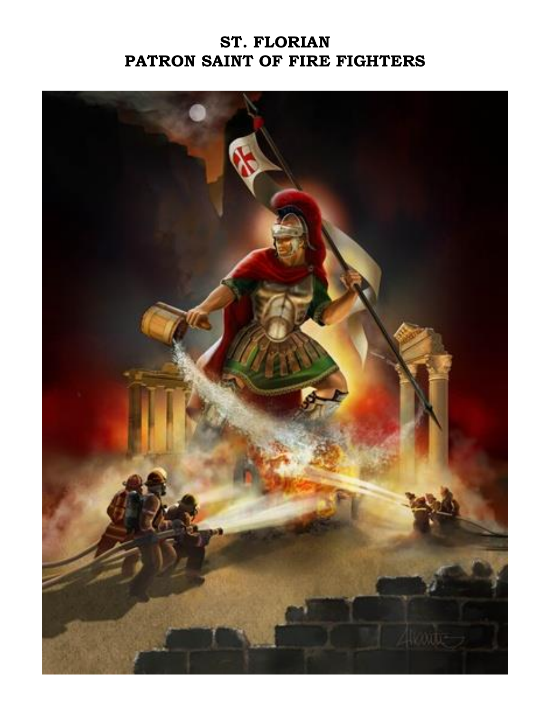## **ST. FLORIAN PATRON SAINT OF FIRE FIGHTERS**